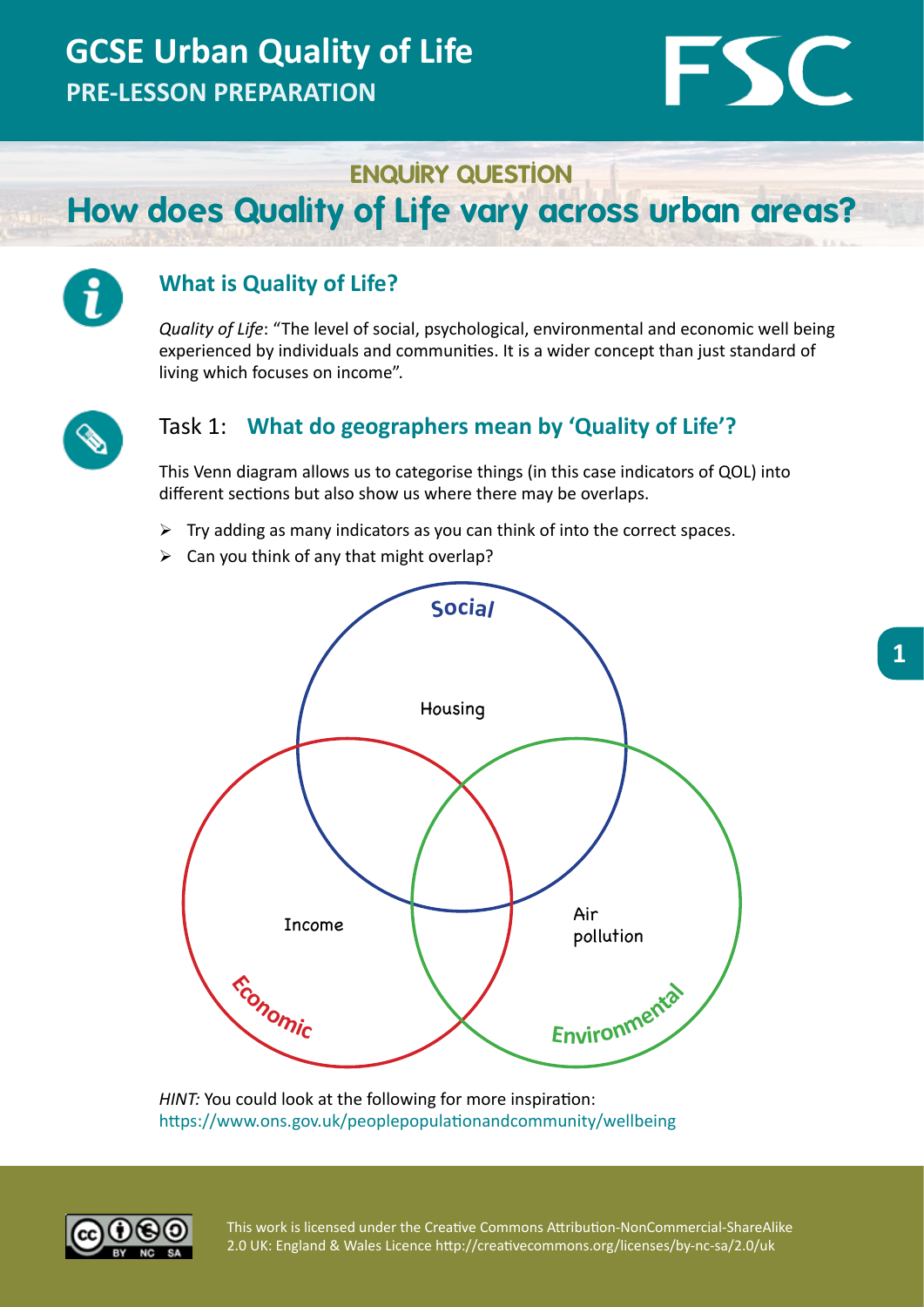## **GCSE Urban Quality of Life PRE-LESSON PREPARATION**

# **FSC**

**ENQUIRY QUESTION**

## **How does Quality of Life vary across urban areas?**



### **What is Quality of Life?**

*Quality of Life*: "The level of social, psychological, environmental and economic well being experienced by individuals and communities. It is a wider concept than just standard of living which focuses on income".



#### Task 1: **What do geographers mean by 'Quality of Life'?**

This Venn diagram allows us to categorise things (in this case indicators of QOL) into different sections but also show us where there may be overlaps.

- $\triangleright$  Try adding as many indicators as you can think of into the correct spaces.
- $\triangleright$  Can you think of any that might overlap?



*HINT:* You could look at the following for more inspiration: https://www.ons.gov.uk/peoplepopulationandcommunity/wellbeing

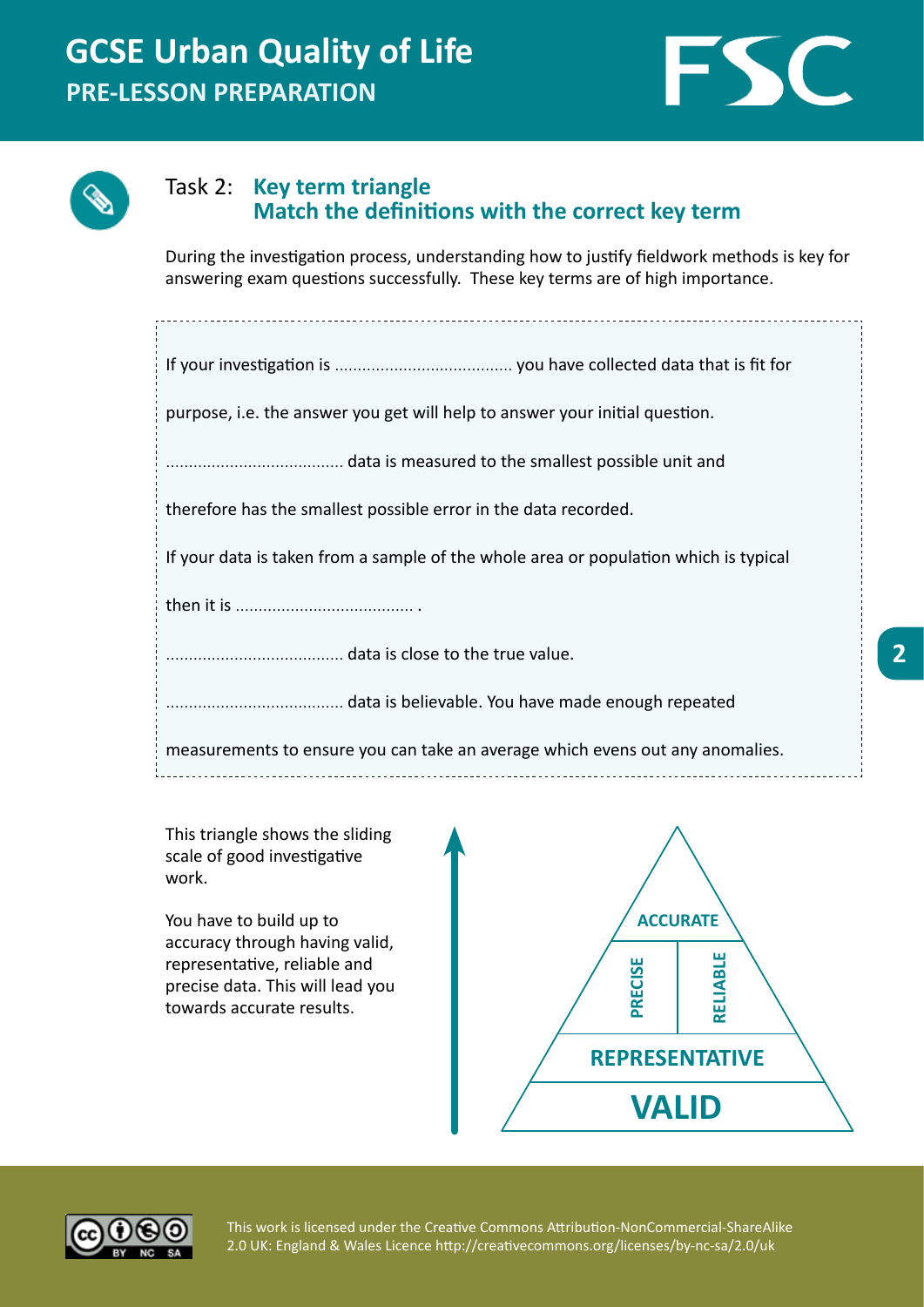



#### Task 2: **Key term triangle Match the definitions with the correct key term**

During the investigation process, understanding how to justify fieldwork methods is key for answering exam questions successfully. These key terms are of high importance.

| purpose, i.e. the answer you get will help to answer your initial question.          |
|--------------------------------------------------------------------------------------|
|                                                                                      |
| therefore has the smallest possible error in the data recorded.                      |
| If your data is taken from a sample of the whole area or population which is typical |
|                                                                                      |
|                                                                                      |
|                                                                                      |
| measurements to ensure you can take an average which evens out any anomalies.        |
|                                                                                      |

This triangle shows the sliding scale of good investigative work.

You have to build up to accuracy through having valid, representative, reliable and precise data. This will lead you towards accurate results.





This work is licensed under the Creative Commons Attribution-NonCommercial-ShareAlike 2.0 UK: England & Wales Licence http://creativecommons.org/licenses/by-nc-sa/2.0/uk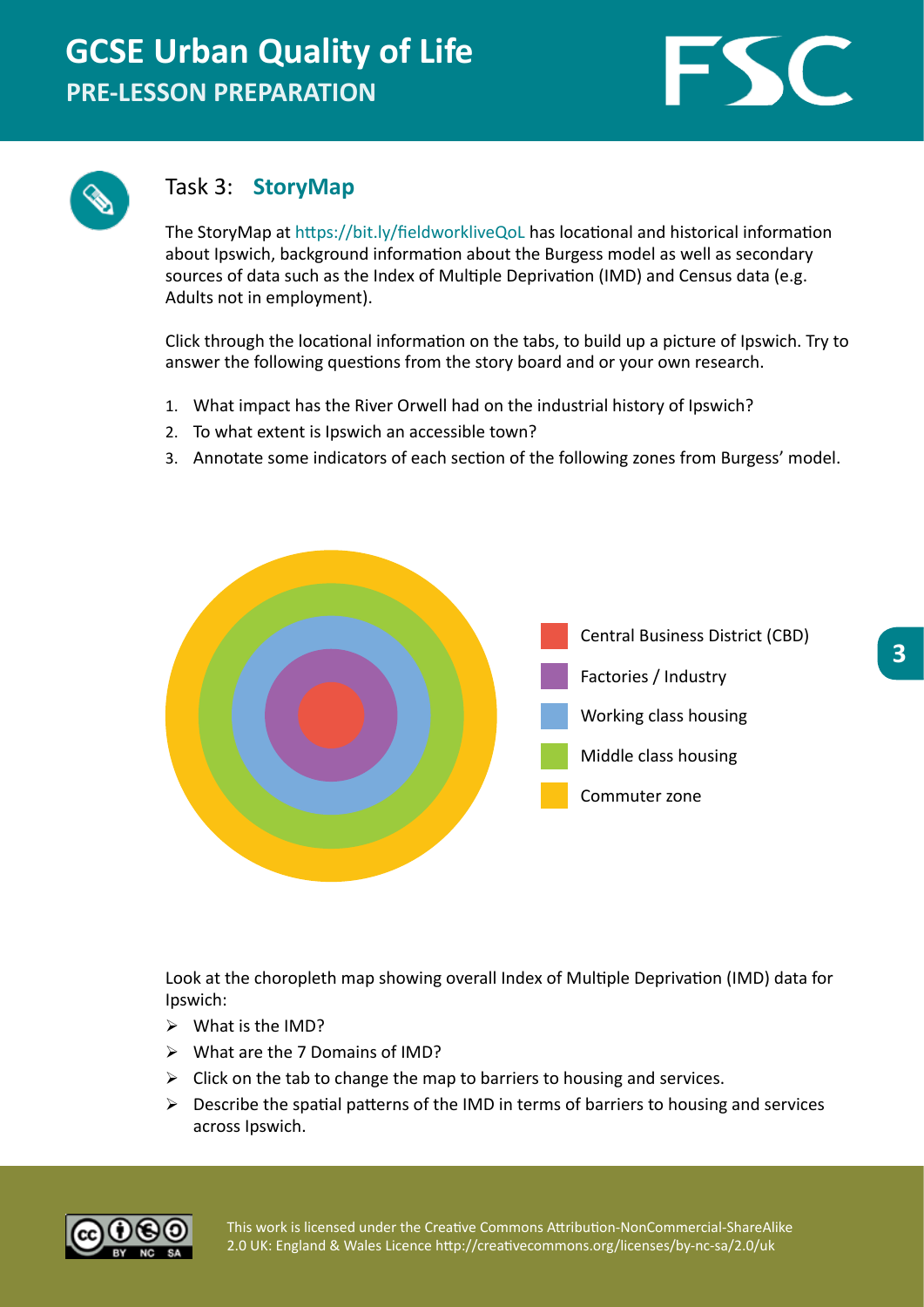## **GCSE Urban Quality of Life PRE-LESSON PREPARATION**





#### Task 3: **StoryMap**

The StoryMap at https://bit.ly/fieldworkliveQoL has locational and historical information about Ipswich, background information about the Burgess model as well as secondary sources of data such as the Index of Multiple Deprivation (IMD) and Census data (e.g. Adults not in employment).

Click through the locational information on the tabs, to build up a picture of Ipswich. Try to answer the following questions from the story board and or your own research.

- 1. What impact has the River Orwell had on the industrial history of Ipswich?
- 2. To what extent is Ipswich an accessible town?
- 3. Annotate some indicators of each section of the following zones from Burgess' model.



Look at the choropleth map showing overall Index of Multiple Deprivation (IMD) data for Ipswich:

- $\triangleright$  What is the IMD?
- $\triangleright$  What are the 7 Domains of IMD?
- $\triangleright$  Click on the tab to change the map to barriers to housing and services.
- $\triangleright$  Describe the spatial patterns of the IMD in terms of barriers to housing and services across Ipswich.



This work is licensed under the Creative Commons Attribution-NonCommercial-ShareAlike 2.0 UK: England & Wales Licence http://creativecommons.org/licenses/by-nc-sa/2.0/uk